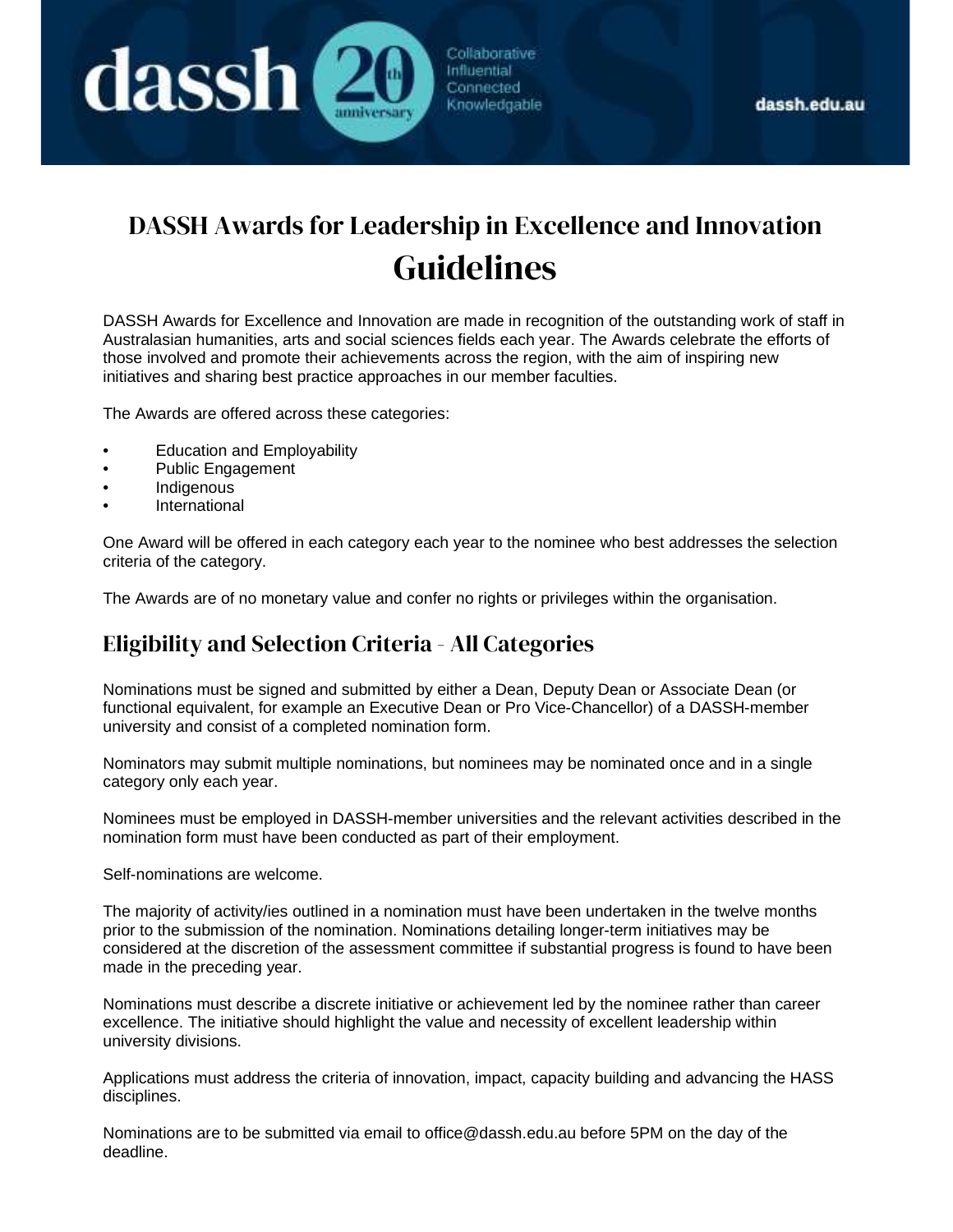

# DASSH Awards for Leadership in Excellence and Innovation Guidelines

Collaborative

Influential Connected Knowledgable

DASSH Awards for Excellence and Innovation are made in recognition of the outstanding work of staff in Australasian humanities, arts and social sciences fields each year. The Awards celebrate the efforts of those involved and promote their achievements across the region, with the aim of inspiring new initiatives and sharing best practice approaches in our member faculties.

The Awards are offered across these categories:

- Education and Employability
- Public Engagement

dassh (

- Indigenous
- **International**

One Award will be offered in each category each year to the nominee who best addresses the selection criteria of the category.

The Awards are of no monetary value and confer no rights or privileges within the organisation.

#### Eligibility and Selection Criteria - All Categories

Nominations must be signed and submitted by either a Dean, Deputy Dean or Associate Dean (or functional equivalent, for example an Executive Dean or Pro Vice-Chancellor) of a DASSH-member university and consist of a completed nomination form.

Nominators may submit multiple nominations, but nominees may be nominated once and in a single category only each year.

Nominees must be employed in DASSH-member universities and the relevant activities described in the nomination form must have been conducted as part of their employment.

Self-nominations are welcome.

The majority of activity/ies outlined in a nomination must have been undertaken in the twelve months prior to the submission of the nomination. Nominations detailing longer-term initiatives may be considered at the discretion of the assessment committee if substantial progress is found to have been made in the preceding year.

Nominations must describe a discrete initiative or achievement led by the nominee rather than career excellence. The initiative should highlight the value and necessity of excellent leadership within university divisions.

Applications must address the criteria of innovation, impact, capacity building and advancing the HASS disciplines.

Nominations are to be submitted via email to office@dassh.edu.au before 5PM on the day of the deadline.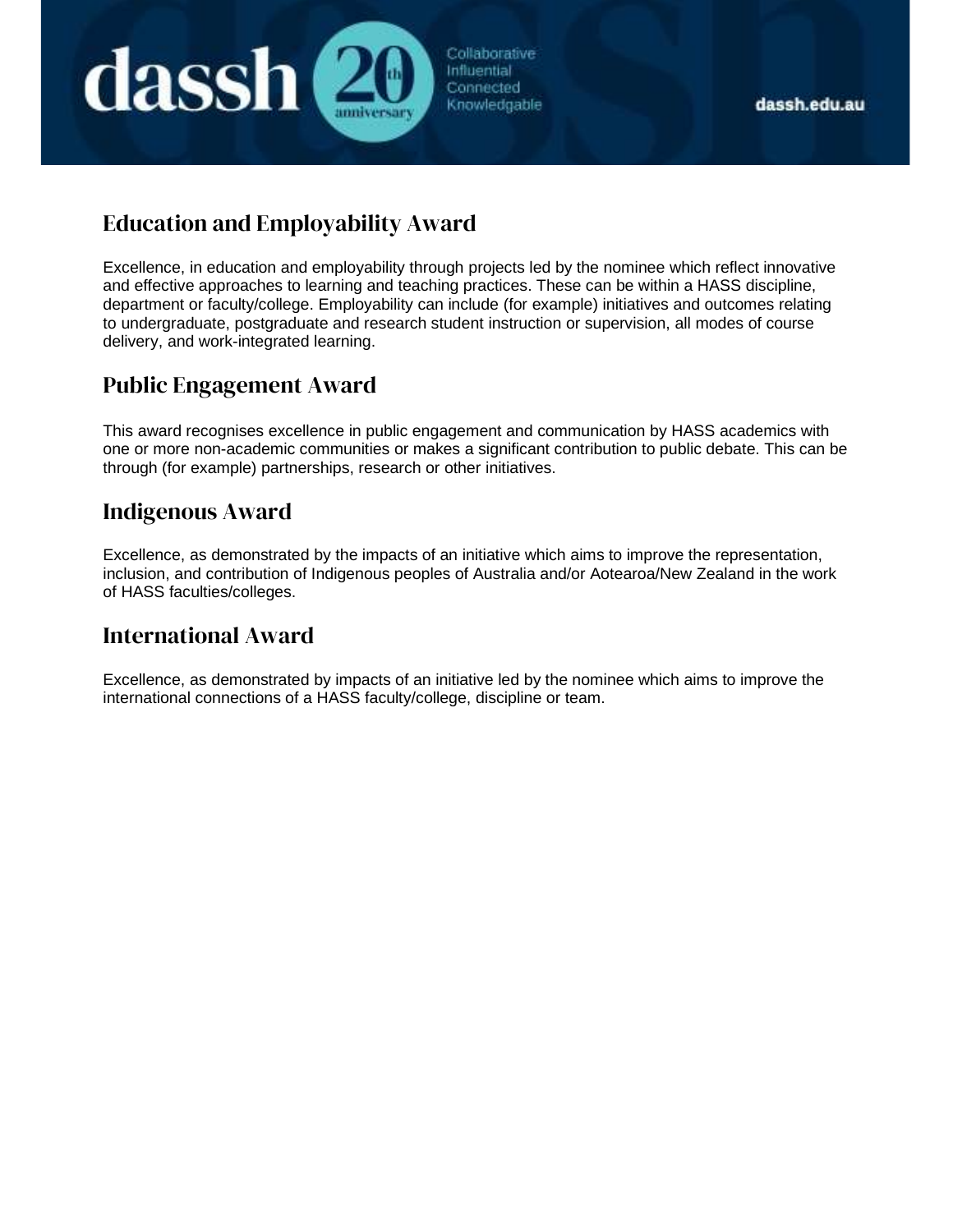

Collaborative Influential Connected Knowledgable

## Education and Employability Award

Excellence, in education and employability through projects led by the nominee which reflect innovative and effective approaches to learning and teaching practices. These can be within a HASS discipline, department or faculty/college. Employability can include (for example) initiatives and outcomes relating to undergraduate, postgraduate and research student instruction or supervision, all modes of course delivery, and work-integrated learning.

### Public Engagement Award

This award recognises excellence in public engagement and communication by HASS academics with one or more non-academic communities or makes a significant contribution to public debate. This can be through (for example) partnerships, research or other initiatives.

#### Indigenous Award

Excellence, as demonstrated by the impacts of an initiative which aims to improve the representation, inclusion, and contribution of Indigenous peoples of Australia and/or Aotearoa/New Zealand in the work of HASS faculties/colleges.

### International Award

Excellence, as demonstrated by impacts of an initiative led by the nominee which aims to improve the international connections of a HASS faculty/college, discipline or team.